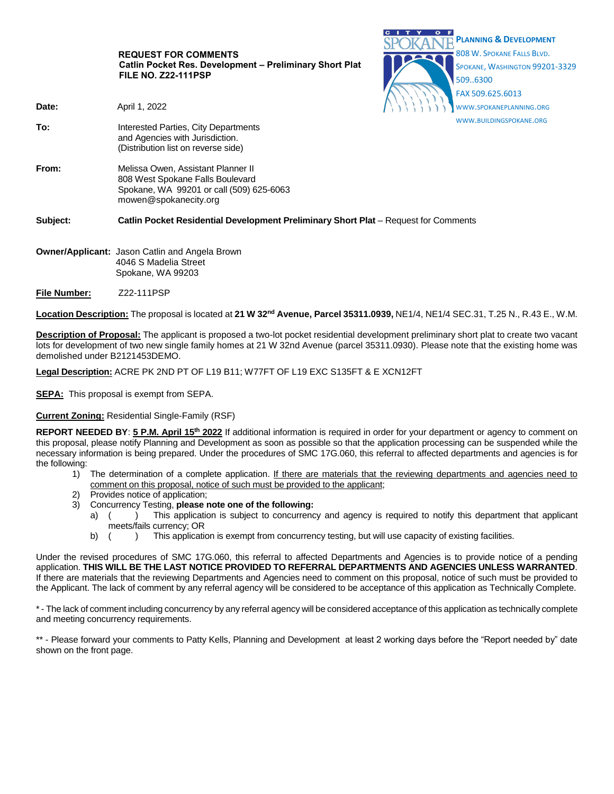|          | <b>REQUEST FOR COMMENTS</b><br>Catlin Pocket Res. Development - Preliminary Short Plat<br><b>FILE NO. Z22-111PSP</b>                        |  | <b>PLANNING &amp; DEVELOPMENT</b><br>808 W. SPOKANE FALLS BLVD.<br>SPOKANE, WASHINGTON 99201-3329<br>509.6300<br>FAX 509.625.6013 |
|----------|---------------------------------------------------------------------------------------------------------------------------------------------|--|-----------------------------------------------------------------------------------------------------------------------------------|
| Date:    | April 1, 2022                                                                                                                               |  | WWW.SPOKANEPLANNING.ORG                                                                                                           |
| To:      | Interested Parties, City Departments<br>and Agencies with Jurisdiction.<br>(Distribution list on reverse side)                              |  | WWW.BUILDINGSPOKANE.ORG                                                                                                           |
| From:    | Melissa Owen, Assistant Planner II<br>808 West Spokane Falls Boulevard<br>Spokane, WA 99201 or call (509) 625-6063<br>mowen@spokanecity.org |  |                                                                                                                                   |
| Subject: | Catlin Pocket Residential Development Preliminary Short Plat – Request for Comments                                                         |  |                                                                                                                                   |
|          | <b>Owner/Applicant: Jason Catlin and Angela Brown</b><br>$\sim$ $\sim$ $\sim$ $\sim$ $\sim$ $\sim$ $\sim$                                   |  |                                                                                                                                   |

CITY OF

- 4046 S Madelia Street Spokane, WA 99203
- **File Number:** Z22-111PSP

**Location Description:** The proposal is located at **21 W 32nd Avenue, Parcel 35311.0939,** NE1/4, NE1/4 SEC.31, T.25 N., R.43 E., W.M.

**Description of Proposal:** The applicant is proposed a two-lot pocket residential development preliminary short plat to create two vacant lots for development of two new single family homes at 21 W 32nd Avenue (parcel 35311.0930). Please note that the existing home was demolished under B2121453DEMO.

**Legal Description:** ACRE PK 2ND PT OF L19 B11; W77FT OF L19 EXC S135FT & E XCN12FT

**SEPA:** This proposal is exempt from SEPA.

### **Current Zoning:** Residential Single-Family (RSF)

**REPORT NEEDED BY**: **5 P.M. April 15th 2022** If additional information is required in order for your department or agency to comment on this proposal, please notify Planning and Development as soon as possible so that the application processing can be suspended while the necessary information is being prepared. Under the procedures of SMC 17G.060, this referral to affected departments and agencies is for the following:

- 1) The determination of a complete application. If there are materials that the reviewing departments and agencies need to comment on this proposal, notice of such must be provided to the applicant;
- Provides notice of application;
- 3) Concurrency Testing, **please note one of the following:**
	- a) () This application is subject to concurrency and agency is required to notify this department that applicant meets/fails currency; OR
	- b) ( ) This application is exempt from concurrency testing, but will use capacity of existing facilities.

Under the revised procedures of SMC 17G.060, this referral to affected Departments and Agencies is to provide notice of a pending application. **THIS WILL BE THE LAST NOTICE PROVIDED TO REFERRAL DEPARTMENTS AND AGENCIES UNLESS WARRANTED**. If there are materials that the reviewing Departments and Agencies need to comment on this proposal, notice of such must be provided to the Applicant. The lack of comment by any referral agency will be considered to be acceptance of this application as Technically Complete.

\* - The lack of comment including concurrency by any referral agency will be considered acceptance of this application as technically complete and meeting concurrency requirements.

\*\* - Please forward your comments to Patty Kells, Planning and Development at least 2 working days before the "Report needed by" date shown on the front page.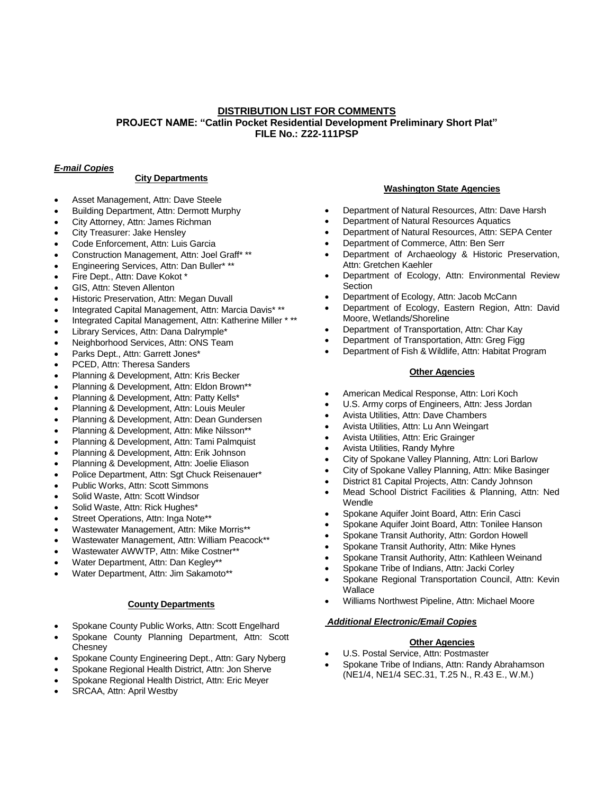# **DISTRIBUTION LIST FOR COMMENTS PROJECT NAME: "Catlin Pocket Residential Development Preliminary Short Plat" FILE No.: Z22-111PSP**

# *E-mail Copies*

### **City Departments**

- Asset Management, Attn: Dave Steele
- Building Department, Attn: Dermott Murphy
- City Attorney, Attn: James Richman
- City Treasurer: Jake Hensley
- Code Enforcement, Attn: Luis Garcia
- Construction Management, Attn: Joel Graff\* \*\*
- Engineering Services, Attn: Dan Buller\* \*\*
- Fire Dept., Attn: Dave Kokot \*
- GIS, Attn: Steven Allenton
- Historic Preservation, Attn: Megan Duvall
- Integrated Capital Management, Attn: Marcia Davis\* \*\*
- Integrated Capital Management, Attn: Katherine Miller \* \*\*
- Library Services, Attn: Dana Dalrymple\*
- Neighborhood Services, Attn: ONS Team
- Parks Dept., Attn: Garrett Jones\*
- PCED, Attn: Theresa Sanders
- Planning & Development, Attn: Kris Becker
- Planning & Development, Attn: Eldon Brown\*\*
- Planning & Development, Attn: Patty Kells\*
- Planning & Development, Attn: Louis Meuler
- Planning & Development, Attn: Dean Gundersen
- Planning & Development, Attn: Mike Nilsson\*\*
- Planning & Development, Attn: Tami Palmquist
- Planning & Development, Attn: Erik Johnson
- Planning & Development, Attn: Joelie Eliason
- Police Department, Attn: Sgt Chuck Reisenauer\*
- Public Works, Attn: Scott Simmons
- Solid Waste, Attn: Scott Windsor
- Solid Waste, Attn: Rick Hughes\*
- Street Operations, Attn: Inga Note\*\*
- Wastewater Management, Attn: Mike Morris\*\*
- Wastewater Management, Attn: William Peacock\*\*
- Wastewater AWWTP, Attn: Mike Costner\*\*
- Water Department, Attn: Dan Kegley\*\*
- Water Department, Attn: Jim Sakamoto\*\*

### **County Departments**

- Spokane County Public Works, Attn: Scott Engelhard
- Spokane County Planning Department, Attn: Scott **Chesney**
- Spokane County Engineering Dept., Attn: Gary Nyberg
- Spokane Regional Health District, Attn: Jon Sherve
- Spokane Regional Health District, Attn: Eric Meyer
- SRCAA, Attn: April Westby

### **Washington State Agencies**

- Department of Natural Resources, Attn: Dave Harsh
- Department of Natural Resources Aquatics
- Department of Natural Resources, Attn: SEPA Center
- Department of Commerce, Attn: Ben Serr
- Department of Archaeology & Historic Preservation, Attn: Gretchen Kaehler
- Department of Ecology, Attn: Environmental Review **Section**
- Department of Ecology, Attn: Jacob McCann
- Department of Ecology, Eastern Region, Attn: David Moore, Wetlands/Shoreline
- Department of Transportation, Attn: Char Kay
- Department of Transportation, Attn: Greg Figg
- Department of Fish & Wildlife, Attn: Habitat Program

### **Other Agencies**

- American Medical Response, Attn: Lori Koch
- U.S. Army corps of Engineers, Attn: Jess Jordan
- Avista Utilities, Attn: Dave Chambers
- Avista Utilities, Attn: Lu Ann Weingart
- Avista Utilities, Attn: Eric Grainger
- Avista Utilities, Randy Myhre
- City of Spokane Valley Planning, Attn: Lori Barlow
- City of Spokane Valley Planning, Attn: Mike Basinger
- District 81 Capital Projects, Attn: Candy Johnson
- Mead School District Facilities & Planning, Attn: Ned Wendle
- Spokane Aquifer Joint Board, Attn: Erin Casci
- Spokane Aquifer Joint Board, Attn: Tonilee Hanson
- Spokane Transit Authority, Attn: Gordon Howell
- Spokane Transit Authority, Attn: Mike Hynes
- Spokane Transit Authority, Attn: Kathleen Weinand
- Spokane Tribe of Indians, Attn: Jacki Corley
- Spokane Regional Transportation Council, Attn: Kevin **Wallace**
- Williams Northwest Pipeline, Attn: Michael Moore

### *Additional Electronic/Email Copies*

### **Other Agencies**

- U.S. Postal Service, Attn: Postmaster
- Spokane Tribe of Indians, Attn: Randy Abrahamson (NE1/4, NE1/4 SEC.31, T.25 N., R.43 E., W.M.)